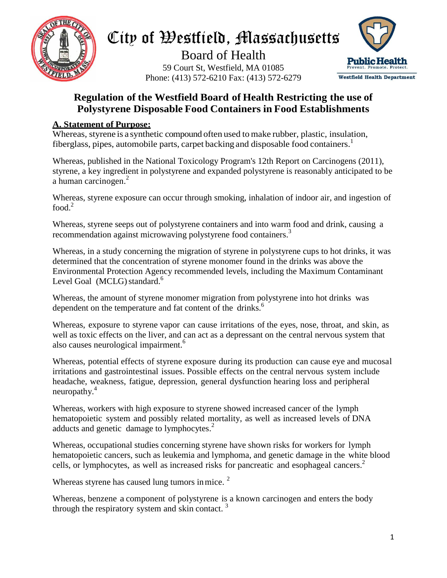

# City of Westfield, Massachusetts

Board of Health 59 Court St, Westfield, MA 01085 Phone: (413) 572-6210 Fax: (413) 572-6279



### **Regulation of the Westfield Board of Health Restricting the use of Polystyrene Disposable Food Containers in Food Establishments**

### **A. Statement of Purpose:**

Whereas, styrene is a synthetic compound often used to make rubber, plastic, insulation, fiberglass, pipes, automobile parts, carpet backing and disposable food containers. 1

Whereas, published in the National Toxicology Program's 12th Report on Carcinogens (2011), styrene, a key ingredient in polystyrene and expanded polystyrene is reasonably anticipated to be a human carcinogen. 2

Whereas, styrene exposure can occur through smoking, inhalation of indoor air, and ingestion of food.<sup>2</sup>

Whereas, styrene seeps out of polystyrene containers and into warm food and drink, causing a recommendation against microwaving polystyrene food containers.<sup>3</sup>

Whereas, in a study concerning the migration of styrene in polystyrene cups to hot drinks, it was determined that the concentration of styrene monomer found in the drinks was above the Environmental Protection Agency recommended levels, including the Maximum Contaminant Level Goal (MCLG) standard.<sup>6</sup>

Whereas, the amount of styrene monomer migration from polystyrene into hot drinks was dependent on the temperature and fat content of the drinks.<sup>6</sup>

Whereas, exposure to styrene vapor can cause irritations of the eyes, nose, throat, and skin, as well as toxic effects on the liver, and can act as a depressant on the central nervous system that also causes neurological impairment.<sup>6</sup>

Whereas, potential effects of styrene exposure during its production can cause eye and mucosal irritations and gastrointestinal issues. Possible effects on the central nervous system include headache, weakness, fatigue, depression, general dysfunction hearing loss and peripheral neuropathy. 4

Whereas, workers with high exposure to styrene showed increased cancer of the lymph hematopoietic system and possibly related mortality, as well as increased levels of DNA adducts and genetic damage to lymphocytes.<sup>2</sup>

Whereas, occupational studies concerning styrene have shown risks for workers for lymph hematopoietic cancers, such as leukemia and lymphoma, and genetic damage in the white blood cells, or lymphocytes, as well as increased risks for pancreatic and esophageal cancers. 2

Whereas styrene has caused lung tumors in mice.  $2$ 

Whereas, benzene a component of polystyrene is a known carcinogen and enters the body through the respiratory system and skin contact.<sup>3</sup>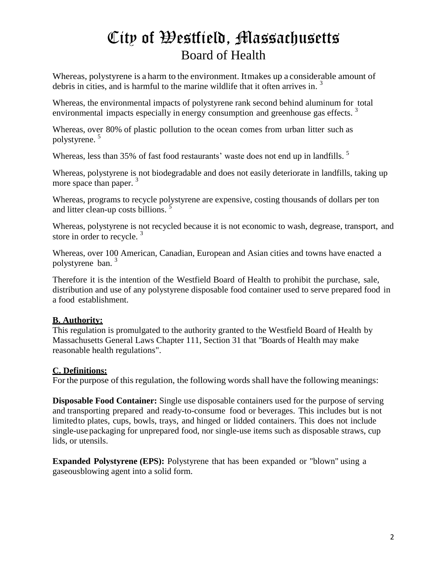# City of Westfield, Massachusetts Board of Health

Whereas, polystyrene is a harm to the environment. Itmakes up a considerable amount of debris in cities, and is harmful to the marine wildlife that it often arrives in.<sup>3</sup>

Whereas, the environmental impacts of polystyrene rank second behind aluminum for total environmental impacts especially in energy consumption and greenhouse gas effects.<sup>3</sup>

Whereas, over 80% of plastic pollution to the ocean comes from urban litter such as polystyrene. 5

Whereas, less than 35% of fast food restaurants' waste does not end up in landfills.<sup>5</sup>

Whereas, polystyrene is not biodegradable and does not easily deteriorate in landfills, taking up more space than paper.<sup>3</sup>

Whereas, programs to recycle polystyrene are expensive, costing thousands of dollars per ton and litter clean-up costs billions.  $\frac{5}{5}$ 

Whereas, polystyrene is not recycled because it is not economic to wash, degrease, transport, and store in order to recycle.<sup>3</sup>

Whereas, over 100 American, Canadian, European and Asian cities and towns have enacted a polystyrene ban. 3

Therefore it is the intention of the Westfield Board of Health to prohibit the purchase, sale, distribution and use of any polystyrene disposable food container used to serve prepared food in a food establishment.

#### **B. Authority:**

This regulation is promulgated to the authority granted to the Westfield Board of Health by Massachusetts General Laws Chapter 111, Section 31 that "Boards of Health may make reasonable health regulations".

### **C. Definitions:**

For the purpose of this regulation, the following words shall have the following meanings:

**Disposable Food Container:** Single use disposable containers used for the purpose of serving and transporting prepared and ready-to-consume food or beverages. This includes but is not limitedto plates, cups, bowls, trays, and hinged or lidded containers. This does not include single-use packaging for unprepared food, nor single-use items such as disposable straws, cup lids, or utensils.

**Expanded Polystyrene (EPS):** Polystyrene that has been expanded or "blown" using a gaseousblowing agent into a solid form.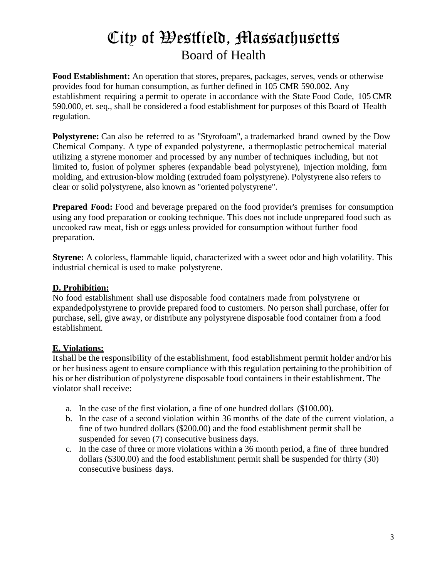# City of Westfield, Massachusetts Board of Health

**Food Establishment:** An operation that stores, prepares, packages, serves, vends or otherwise provides food for human consumption, as further defined in 105 CMR 590.002. Any establishment requiring a permit to operate in accordance with the State Food Code, 105 CMR 590.000, et. seq., shall be considered a food establishment for purposes of this Board of Health regulation.

Polystyrene: Can also be referred to as "Styrofoam", a trademarked brand owned by the Dow Chemical Company. A type of expanded polystyrene, a thermoplastic petrochemical material utilizing a styrene monomer and processed by any number of techniques including, but not limited to, fusion of polymer spheres (expandable bead polystyrene), injection molding, form molding, and extrusion-blow molding (extruded foam polystyrene). Polystyrene also refers to clear or solid polystyrene, also known as "oriented polystyrene".

**Prepared Food:** Food and beverage prepared on the food provider's premises for consumption using any food preparation or cooking technique. This does not include unprepared food such as uncooked raw meat, fish or eggs unless provided for consumption without further food preparation.

**Styrene:** A colorless, flammable liquid, characterized with a sweet odor and high volatility. This industrial chemical is used to make polystyrene.

#### **D. Prohibition:**

No food establishment shall use disposable food containers made from polystyrene or expandedpolystyrene to provide prepared food to customers. No person shall purchase, offer for purchase, sell, give away, or distribute any polystyrene disposable food container from a food establishment.

#### **E. Violations:**

Itshall be the responsibility of the establishment, food establishment permit holder and/or his or her business agent to ensure compliance with thisregulation pertaining to the prohibition of his or her distribution of polystyrene disposable food containers in their establishment. The violator shall receive:

- a. In the case of the first violation, a fine of one hundred dollars (\$100.00).
- b. In the case of a second violation within 36 months of the date of the current violation, a fine of two hundred dollars (\$200.00) and the food establishment permit shall be suspended for seven (7) consecutive business days.
- c. In the case of three or more violations within a 36 month period, a fine of three hundred dollars (\$300.00) and the food establishment permit shall be suspended for thirty (30) consecutive business days.